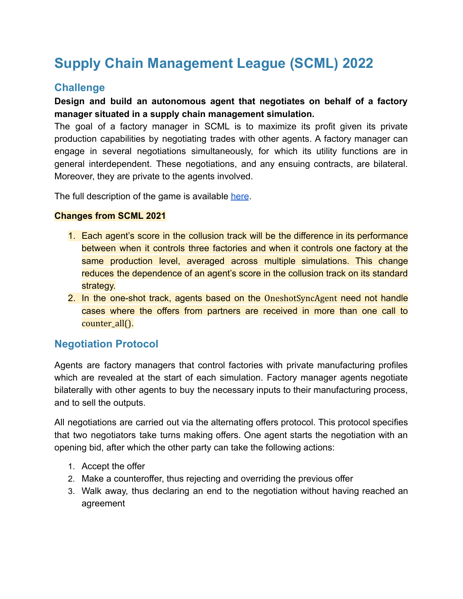# **Supply Chain Management League (SCML) 2022**

### **Challenge**

#### **Design and build an autonomous agent that negotiates on behalf of a factory manager situated in a supply chain management simulation.**

The goal of a factory manager in SCML is to maximize its profit given its private production capabilities by negotiating trades with other agents. A factory manager can engage in several negotiations simultaneously, for which its utility functions are in general interdependent. These negotiations, and any ensuing contracts, are bilateral. Moreover, they are private to the agents involved.

The full description of the game is available [here](http://www.yasserm.com/scml/scml2021.pdf).

#### **Changes from SCML 2021**

- 1. Each agent's score in the collusion track will be the difference in its performance between when it controls three factories and when it controls one factory at the same production level, averaged across multiple simulations. This change reduces the dependence of an agent's score in the collusion track on its standard strategy.
- 2. In the one-shot track, agents based on the OneshotSyncAgent need not handle cases where the offers from partners are received in more than one call to counter\_all().

#### **Negotiation Protocol**

Agents are factory managers that control factories with private manufacturing profiles which are revealed at the start of each simulation. Factory manager agents negotiate bilaterally with other agents to buy the necessary inputs to their manufacturing process, and to sell the outputs.

All negotiations are carried out via the alternating offers protocol. This protocol specifies that two negotiators take turns making offers. One agent starts the negotiation with an opening bid, after which the other party can take the following actions:

- 1. Accept the offer
- 2. Make a counteroffer, thus rejecting and overriding the previous offer
- 3. Walk away, thus declaring an end to the negotiation without having reached an agreement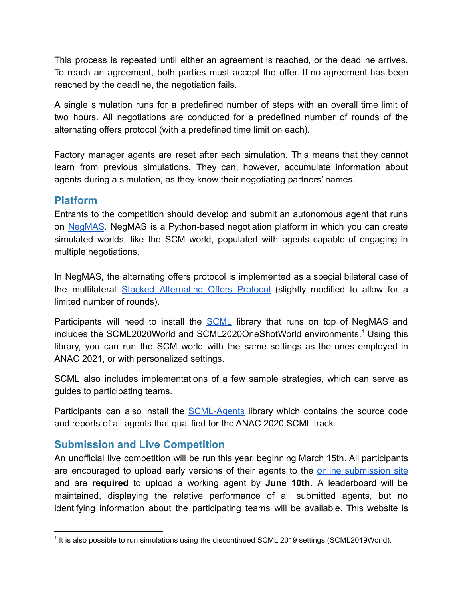This process is repeated until either an agreement is reached, or the deadline arrives. To reach an agreement, both parties must accept the offer. If no agreement has been reached by the deadline, the negotiation fails.

A single simulation runs for a predefined number of steps with an overall time limit of two hours. All negotiations are conducted for a predefined number of rounds of the alternating offers protocol (with a predefined time limit on each).

Factory manager agents are reset after each simulation. This means that they cannot learn from previous simulations. They can, however, accumulate information about agents during a simulation, as they know their negotiating partners' names.

#### **Platform**

Entrants to the competition should develop and submit an autonomous agent that runs on [NegMAS](http://www.yasserm.com/negmas/). NegMAS is a Python-based negotiation platform in which you can create simulated worlds, like the SCM world, populated with agents capable of engaging in multiple negotiations.

In NegMAS, the alternating offers protocol is implemented as a special bilateral case of the multilateral Stacked [Alternating](https://link.springer.com/chapter/10.1007/978-3-319-51563-2_10) Offers Protocol (slightly modified to allow for a limited number of rounds).

Participants will need to install the [SCML](https://pypi.org/project/scml/) library that runs on top of NegMAS and includes the SCML2020World and SCML2020OneShotWorld environments.<sup>1</sup> Using this library, you can run the SCM world with the same settings as the ones employed in ANAC 2021, or with personalized settings.

SCML also includes implementations of a few sample strategies, which can serve as guides to participating teams.

Participants can also install the [SCML-Agents](https://www.github.com/yasserfarouk/scml-agents) library which contains the source code and reports of all agents that qualified for the ANAC 2020 SCML track.

#### **Submission and Live Competition**

An unofficial live competition will be run this year, beginning March 15th. All participants are encouraged to upload early versions of their agents to the online [submission](http://scml.cs.brown.edu/) site and are **required** to upload a working agent by **June 10th**. A leaderboard will be maintained, displaying the relative performance of all submitted agents, but no identifying information about the participating teams will be available. This website is

<sup>&</sup>lt;sup>1</sup> It is also possible to run simulations using the discontinued SCML 2019 settings (SCML2019World).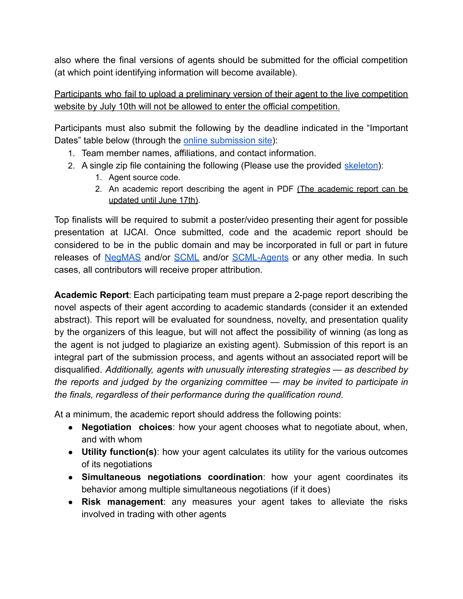also where the final versions of agents should be submitted for the official competition (at which point identifying information will become available).

#### Participants who fail to upload a preliminary version of their agent to the live competition website by July 10th will not be allowed to enter the official competition.

Participants must also submit the following by the deadline indicated in the "Important Dates" table below (through the [online submission](http://scml.cs.brown.edu/) site):

- 1. Team member names, affiliations, and contact information.
- 2. A single zip file containing the following (Please use the provided [skeleton](http://www.yasserm.com/scml/scml2021.zip)):
	- 1. Agent source code.
	- 2. An academic report describing the agent in PDF (The academic report can be updated until June 17th).

Top finalists will be required to submit a poster/video presenting their agent for possible presentation at IJCAI. Once submitted, code and the academic report should be considered to be in the public domain and may be incorporated in full or part in future releases of [NegMAS](https://pypi.org/project/negmas/) and/or [SCML](https://pypi.org/project/scml/) and/or [SCML-Agents](https://www.github.com/yasserfarouk/scml-agents) or any other media. In such cases, all contributors will receive proper attribution.

**Academic Report**: Each participating team must prepare a 2-page report describing the novel aspects of their agent according to academic standards (consider it an extended abstract). This report will be evaluated for soundness, novelty, and presentation quality by the organizers of this league, but will not affect the possibility of winning (as long as the agent is not judged to plagiarize an existing agent). Submission of this report is an integral part of the submission process, and agents without an associated report will be disqualified. *Additionally, agents with unusually interesting strategies — as described by the reports and judged by the organizing committee — may be invited to participate in the finals, regardless of their performance during the qualification round*.

At a minimum, the academic report should address the following points:

- **Negotiation choices**: how your agent chooses what to negotiate about, when, and with whom
- **Utility function(s)**: how your agent calculates its utility for the various outcomes of its negotiations
- **Simultaneous negotiations coordination**: how your agent coordinates its behavior among multiple simultaneous negotiations (if it does)
- **Risk management**: any measures your agent takes to alleviate the risks involved in trading with other agents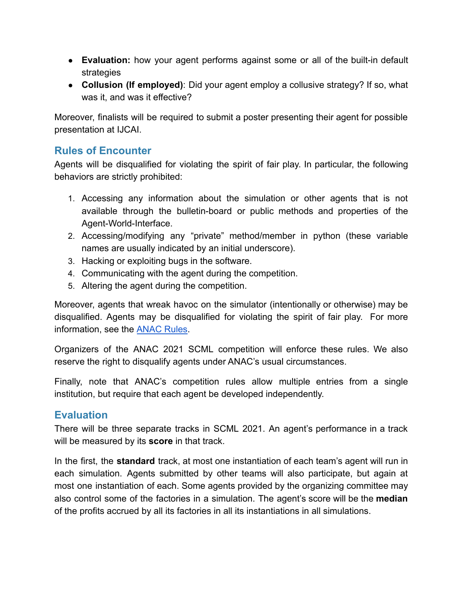- **Evaluation:** how your agent performs against some or all of the built-in default strategies
- **Collusion (If employed)**: Did your agent employ a collusive strategy? If so, what was it, and was it effective?

Moreover, finalists will be required to submit a poster presenting their agent for possible presentation at IJCAI.

#### **Rules of Encounter**

Agents will be disqualified for violating the spirit of fair play. In particular, the following behaviors are strictly prohibited:

- 1. Accessing any information about the simulation or other agents that is not available through the bulletin-board or public methods and properties of the Agent-World-Interface.
- 2. Accessing/modifying any "private" method/member in python (these variable names are usually indicated by an initial underscore).
- 3. Hacking or exploiting bugs in the software.
- 4. Communicating with the agent during the competition.
- 5. Altering the agent during the competition.

Moreover, agents that wreak havoc on the simulator (intentionally or otherwise) may be disqualified. Agents may be disqualified for violating the spirit of fair play. For more information, see the [ANAC Rules](http://ii.tudelft.nl/negotiation/node/7).

Organizers of the ANAC 2021 SCML competition will enforce these rules. We also reserve the right to disqualify agents under ANAC's usual circumstances.

Finally, note that ANAC's competition rules allow multiple entries from a single institution, but require that each agent be developed independently.

#### **Evaluation**

There will be three separate tracks in SCML 2021. An agent's performance in a track will be measured by its **score** in that track.

In the first, the **standard** track, at most one instantiation of each team's agent will run in each simulation. Agents submitted by other teams will also participate, but again at most one instantiation of each. Some agents provided by the organizing committee may also control some of the factories in a simulation. The agent's score will be the **median** of the profits accrued by all its factories in all its instantiations in all simulations.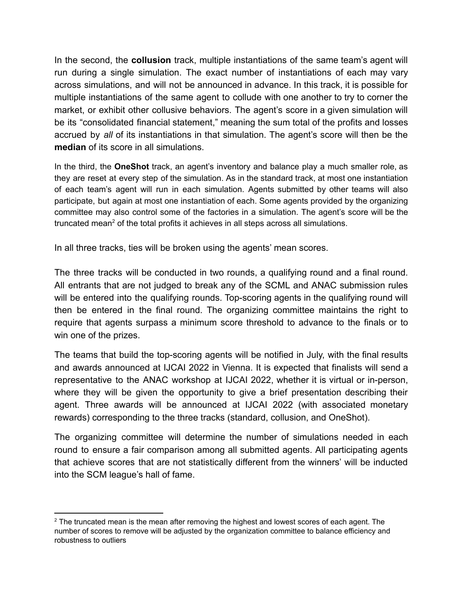In the second, the **collusion** track, multiple instantiations of the same team's agent will run during a single simulation. The exact number of instantiations of each may vary across simulations, and will not be announced in advance. In this track, it is possible for multiple instantiations of the same agent to collude with one another to try to corner the market, or exhibit other collusive behaviors. The agent's score in a given simulation will be its "consolidated financial statement," meaning the sum total of the profits and losses accrued by *all* of its instantiations in that simulation. The agent's score will then be the **median** of its score in all simulations.

In the third, the **OneShot** track, an agent's inventory and balance play a much smaller role, as they are reset at every step of the simulation. As in the standard track, at most one instantiation of each team's agent will run in each simulation. Agents submitted by other teams will also participate, but again at most one instantiation of each. Some agents provided by the organizing committee may also control some of the factories in a simulation. The agent's score will be the truncated mean<sup>2</sup> of the total profits it achieves in all steps across all simulations.

In all three tracks, ties will be broken using the agents' mean scores.

The three tracks will be conducted in two rounds, a qualifying round and a final round. All entrants that are not judged to break any of the SCML and ANAC submission rules will be entered into the qualifying rounds. Top-scoring agents in the qualifying round will then be entered in the final round. The organizing committee maintains the right to require that agents surpass a minimum score threshold to advance to the finals or to win one of the prizes.

The teams that build the top-scoring agents will be notified in July, with the final results and awards announced at IJCAI 2022 in Vienna. It is expected that finalists will send a representative to the ANAC workshop at IJCAI 2022, whether it is virtual or in-person, where they will be given the opportunity to give a brief presentation describing their agent. Three awards will be announced at IJCAI 2022 (with associated monetary rewards) corresponding to the three tracks (standard, collusion, and OneShot).

The organizing committee will determine the number of simulations needed in each round to ensure a fair comparison among all submitted agents. All participating agents that achieve scores that are not statistically different from the winners' will be inducted into the SCM league's hall of fame.

 $2$  The truncated mean is the mean after removing the highest and lowest scores of each agent. The number of scores to remove will be adjusted by the organization committee to balance efficiency and robustness to outliers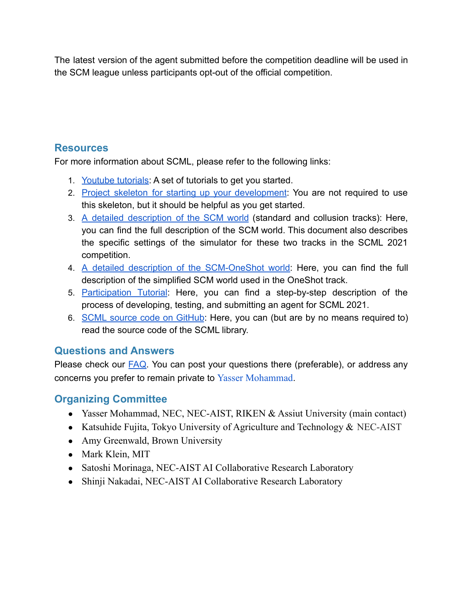The latest version of the agent submitted before the competition deadline will be used in the SCM league unless participants opt-out of the official competition.

#### **Resources**

For more information about SCML, please refer to the following links:

- 1. [Youtube tutorials:](https://youtube.com/playlist?list=PLqvs51K2Mb8KT3dPC0SxHa-hPIVD_t2Xm) A set of tutorials to get you started.
- 2. Project skeleton for starting up your [development](http://www.yasserm.com/scml/scml2020.zip): You are not required to use this skeleton, but it should be helpful as you get started.
- 3. A detailed [description](http://www.yasserm.com/scml/scml2021.pdf) of the SCM world (standard and collusion tracks): Here, you can find the full description of the SCM world. This document also describes the specific settings of the simulator for these two tracks in the SCML 2021 competition.
- 4. A detailed description of the [SCM-OneShot](http://www.yasserm.com/scml/scml2021one-shot.pdf) world: Here, you can find the full description of the simplified SCM world used in the OneShot track.
- 5. [Participation](http://www.yasserm.com/scml/scml2020docs/tutorials.html) Tutorial: Here, you can find a step-by-step description of the process of developing, testing, and submitting an agent for SCML 2021.
- 6. SCML source code on [GitHub](https://github.com/yasserfarouk/scml): Here, you can (but are by no means required to) read the source code of the SCML library.

## **Questions and Answers**

Please check our **FAQ**. You can post your questions there (preferable), or address any concerns you prefer to remain private to Yasser Mohammad.

## **Organizing Committee**

- Yasser Mohammad, NEC, NEC-AIST, RIKEN & Assiut University (main contact)
- Katsuhide Fujita, Tokyo University of Agriculture and Technology  $& \text{NEC-AIST}$
- Amy Greenwald, Brown University
- Mark Klein, MIT
- Satoshi Morinaga, NEC-AIST AI Collaborative Research Laboratory
- Shinji Nakadai, NEC-AIST AI Collaborative Research Laboratory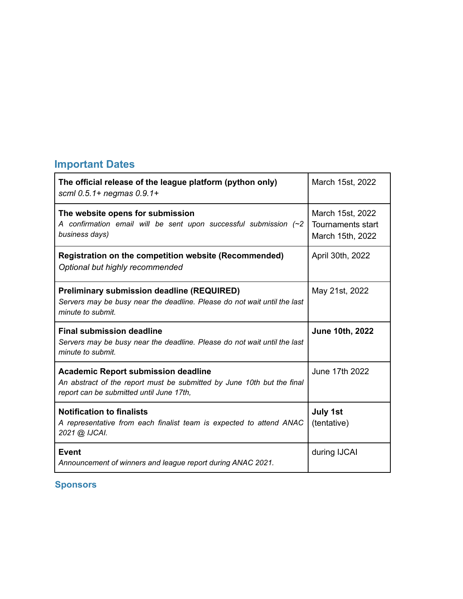## **Important Dates**

| The official release of the league platform (python only)<br>scml 0.5.1+ negmas 0.9.1+                                                                           | March 15st, 2022                                          |
|------------------------------------------------------------------------------------------------------------------------------------------------------------------|-----------------------------------------------------------|
| The website opens for submission<br>A confirmation email will be sent upon successful submission $(\sim 2)$<br>business days)                                    | March 15st, 2022<br>Tournaments start<br>March 15th, 2022 |
| <b>Registration on the competition website (Recommended)</b><br>Optional but highly recommended                                                                  | April 30th, 2022                                          |
| <b>Preliminary submission deadline (REQUIRED)</b><br>Servers may be busy near the deadline. Please do not wait until the last<br>minute to submit.               | May 21st, 2022                                            |
| <b>Final submission deadline</b><br>Servers may be busy near the deadline. Please do not wait until the last<br>minute to submit.                                | <b>June 10th, 2022</b>                                    |
| <b>Academic Report submission deadline</b><br>An abstract of the report must be submitted by June 10th but the final<br>report can be submitted until June 17th, | June 17th 2022                                            |
| <b>Notification to finalists</b><br>A representative from each finalist team is expected to attend ANAC<br>2021 @ IJCAI.                                         | <b>July 1st</b><br>(tentative)                            |
| <b>Event</b><br>Announcement of winners and league report during ANAC 2021.                                                                                      | during IJCAI                                              |

٦

**.Sponsors**